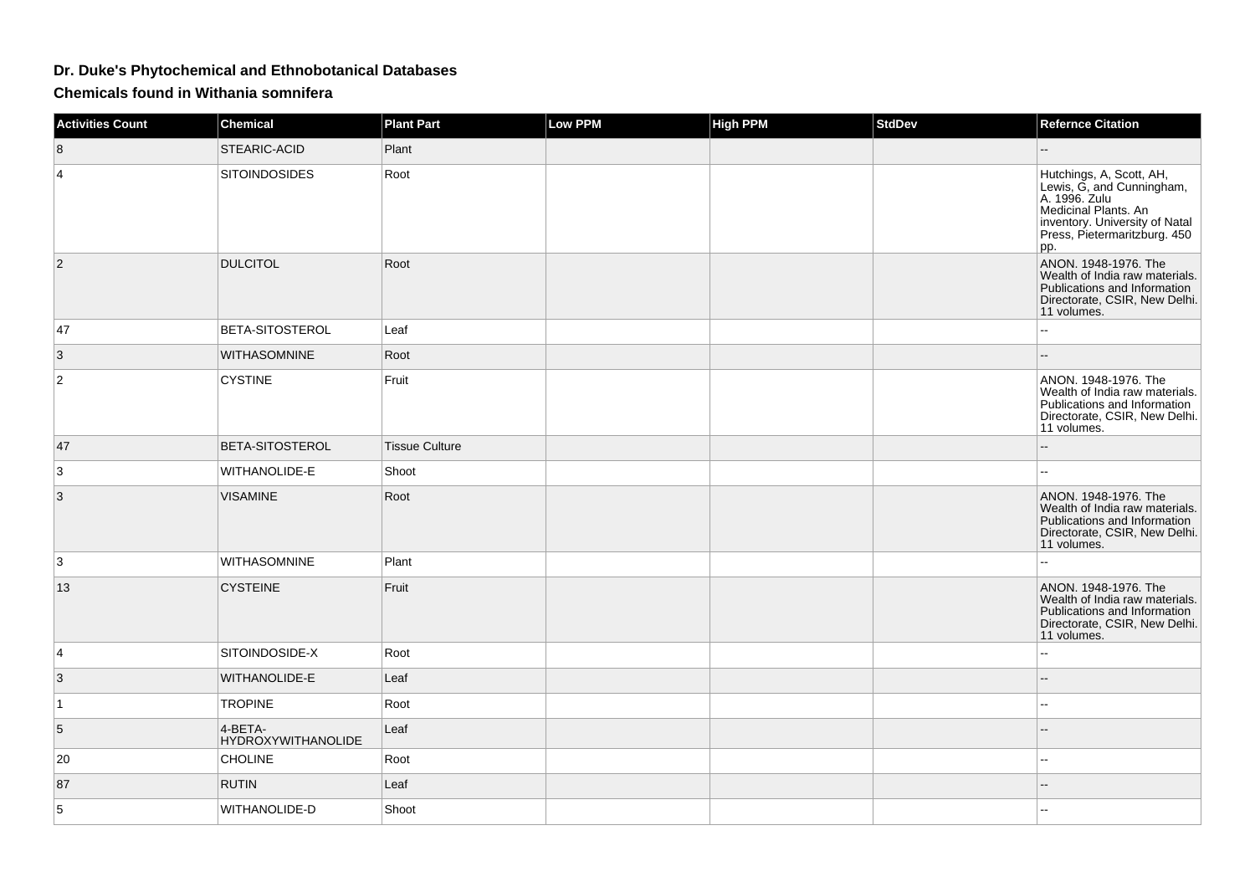## **Dr. Duke's Phytochemical and Ethnobotanical Databases**

**Chemicals found in Withania somnifera**

| <b>Activities Count</b> | <b>Chemical</b>                      | <b>Plant Part</b> | Low PPM | <b>High PPM</b> | <b>StdDev</b> | <b>Refernce Citation</b>                                                                                                                                                |
|-------------------------|--------------------------------------|-------------------|---------|-----------------|---------------|-------------------------------------------------------------------------------------------------------------------------------------------------------------------------|
| 8                       | <b>STEARIC-ACID</b>                  | Plant             |         |                 |               |                                                                                                                                                                         |
| 4                       | <b>SITOINDOSIDES</b>                 | Root              |         |                 |               | Hutchings, A, Scott, AH,<br>Lewis, G, and Cunningham,<br>A. 1996. Zulu<br>Medicinal Plants. An<br>inventory. University of Natal<br>Press, Pietermaritzburg. 450<br>pp. |
| $\overline{2}$          | <b>DULCITOL</b>                      | Root              |         |                 |               | ANON. 1948-1976. The<br>Wealth of India raw materials.<br>Publications and Information<br>Directorate, CSIR, New Delhi.<br>11 volumes.                                  |
| 47                      | <b>BETA-SITOSTEROL</b>               | Leaf              |         |                 |               |                                                                                                                                                                         |
| 3                       | <b>WITHASOMNINE</b>                  | Root              |         |                 |               |                                                                                                                                                                         |
| $\overline{2}$          | <b>CYSTINE</b>                       | Fruit             |         |                 |               | ANON. 1948-1976. The<br>Wealth of India raw materials.<br>Publications and Information<br>Directorate, CSIR, New Delhi.<br>11 volumes.                                  |
| 47                      | <b>BETA-SITOSTEROL</b>               | Tissue Culture    |         |                 |               |                                                                                                                                                                         |
| 3                       | WITHANOLIDE-E                        | Shoot             |         |                 |               |                                                                                                                                                                         |
| 3                       | <b>VISAMINE</b>                      | Root              |         |                 |               | ANON. 1948-1976. The<br>Wealth of India raw materials.<br>Publications and Information<br>Directorate, CSIR, New Delhi.<br>11 volumes.                                  |
| 3                       | WITHASOMNINE                         | Plant             |         |                 |               |                                                                                                                                                                         |
| 13                      | <b>CYSTEINE</b>                      | Fruit             |         |                 |               | ANON. 1948-1976. The<br>Wealth of India raw materials.<br>Publications and Information<br>Directorate, CSIR, New Delhi.<br>11 volumes.                                  |
| 4                       | SITOINDOSIDE-X                       | Root              |         |                 |               | 44                                                                                                                                                                      |
| 3                       | WITHANOLIDE-E                        | Leaf              |         |                 |               |                                                                                                                                                                         |
| $\overline{1}$          | <b>TROPINE</b>                       | Root              |         |                 |               | --                                                                                                                                                                      |
| 5                       | 4-BETA-<br><b>HYDROXYWITHANOLIDE</b> | Leaf              |         |                 |               |                                                                                                                                                                         |
| 20                      | <b>CHOLINE</b>                       | Root              |         |                 |               | --                                                                                                                                                                      |
| 87                      | <b>RUTIN</b>                         | Leaf              |         |                 |               | --                                                                                                                                                                      |
| 5                       | WITHANOLIDE-D                        | Shoot             |         |                 |               |                                                                                                                                                                         |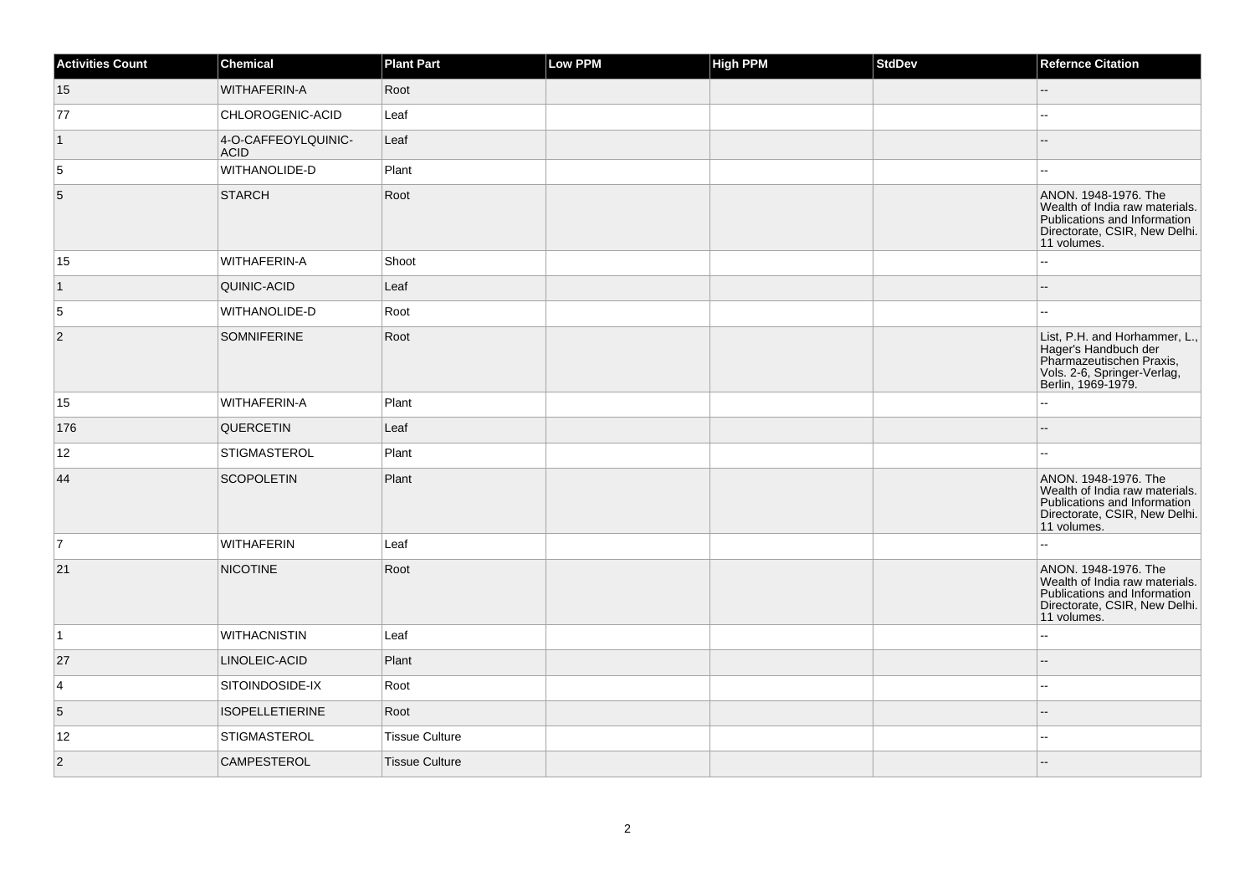| <b>Activities Count</b> | <b>Chemical</b>                    | <b>Plant Part</b>     | <b>Low PPM</b> | <b>High PPM</b> | StdDev | <b>Refernce Citation</b>                                                                                                               |
|-------------------------|------------------------------------|-----------------------|----------------|-----------------|--------|----------------------------------------------------------------------------------------------------------------------------------------|
| 15                      | WITHAFERIN-A                       | Root                  |                |                 |        |                                                                                                                                        |
| 77                      | CHLOROGENIC-ACID                   | Leaf                  |                |                 |        | ۵.                                                                                                                                     |
| $\vert$ 1               | 4-O-CAFFEOYLQUINIC-<br><b>ACID</b> | Leaf                  |                |                 |        |                                                                                                                                        |
| 5                       | WITHANOLIDE-D                      | Plant                 |                |                 |        | $\sim$                                                                                                                                 |
| 5                       | <b>STARCH</b>                      | Root                  |                |                 |        | ANON. 1948-1976. The<br>Wealth of India raw materials.<br>Publications and Information<br>Directorate, CSIR, New Delhi.<br>11 volumes. |
| 15                      | WITHAFERIN-A                       | Shoot                 |                |                 |        | ω.                                                                                                                                     |
| $\vert$ 1               | QUINIC-ACID                        | Leaf                  |                |                 |        | --                                                                                                                                     |
| 5                       | WITHANOLIDE-D                      | Root                  |                |                 |        |                                                                                                                                        |
| $\overline{2}$          | <b>SOMNIFERINE</b>                 | Root                  |                |                 |        | List, P.H. and Horhammer, L.,<br>Hager's Handbuch der<br>Pharmazeutischen Praxis,<br>Vols. 2-6, Springer-Verlag,<br>Berlin, 1969-1979. |
| 15                      | WITHAFERIN-A                       | Plant                 |                |                 |        | Ξ.                                                                                                                                     |
| 176                     | QUERCETIN                          | Leaf                  |                |                 |        |                                                                                                                                        |
| 12                      | <b>STIGMASTEROL</b>                | Plant                 |                |                 |        | шш.                                                                                                                                    |
| 44                      | <b>SCOPOLETIN</b>                  | Plant                 |                |                 |        | ANON. 1948-1976. The<br>Wealth of India raw materials.<br>Publications and Information<br>Directorate, CSIR, New Delhi.<br>11 volumes. |
| 7                       | <b>WITHAFERIN</b>                  | Leaf                  |                |                 |        | 44                                                                                                                                     |
| 21                      | <b>NICOTINE</b>                    | Root                  |                |                 |        | ANON. 1948-1976. The<br>Wealth of India raw materials.<br>Publications and Information<br>Directorate, CSIR, New Delhi.<br>11 volumes. |
| $\vert$ 1               | <b>WITHACNISTIN</b>                | Leaf                  |                |                 |        | $\overline{a}$                                                                                                                         |
| 27                      | LINOLEIC-ACID                      | Plant                 |                |                 |        | --                                                                                                                                     |
| $\overline{\mathbf{4}}$ | SITOINDOSIDE-IX                    | Root                  |                |                 |        | шш.                                                                                                                                    |
| $5^{\circ}$             | <b>ISOPELLETIERINE</b>             | Root                  |                |                 |        |                                                                                                                                        |
| 12                      | <b>STIGMASTEROL</b>                | <b>Tissue Culture</b> |                |                 |        | $\sim$                                                                                                                                 |
| $\vert$ 2               | CAMPESTEROL                        | <b>Tissue Culture</b> |                |                 |        |                                                                                                                                        |